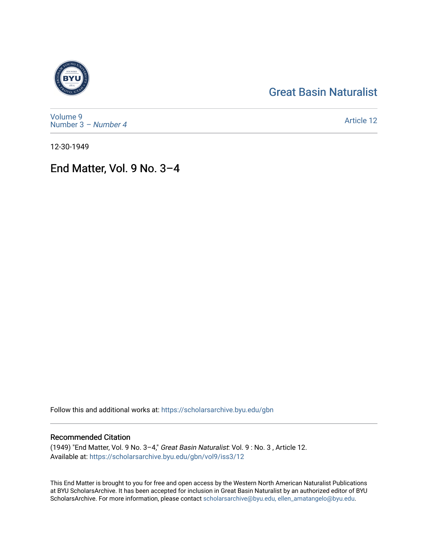# [Great Basin Naturalist](https://scholarsarchive.byu.edu/gbn)



[Volume 9](https://scholarsarchive.byu.edu/gbn/vol9) [Number 3](https://scholarsarchive.byu.edu/gbn/vol9/iss3) – Number 4

[Article 12](https://scholarsarchive.byu.edu/gbn/vol9/iss3/12) 

12-30-1949

## End Matter, Vol. 9 No. 3–4

Follow this and additional works at: [https://scholarsarchive.byu.edu/gbn](https://scholarsarchive.byu.edu/gbn?utm_source=scholarsarchive.byu.edu%2Fgbn%2Fvol9%2Fiss3%2F12&utm_medium=PDF&utm_campaign=PDFCoverPages) 

## Recommended Citation

(1949) "End Matter, Vol. 9 No. 3–4," Great Basin Naturalist: Vol. 9 : No. 3 , Article 12. Available at: [https://scholarsarchive.byu.edu/gbn/vol9/iss3/12](https://scholarsarchive.byu.edu/gbn/vol9/iss3/12?utm_source=scholarsarchive.byu.edu%2Fgbn%2Fvol9%2Fiss3%2F12&utm_medium=PDF&utm_campaign=PDFCoverPages)

This End Matter is brought to you for free and open access by the Western North American Naturalist Publications at BYU ScholarsArchive. It has been accepted for inclusion in Great Basin Naturalist by an authorized editor of BYU ScholarsArchive. For more information, please contact [scholarsarchive@byu.edu, ellen\\_amatangelo@byu.edu.](mailto:scholarsarchive@byu.edu,%20ellen_amatangelo@byu.edu)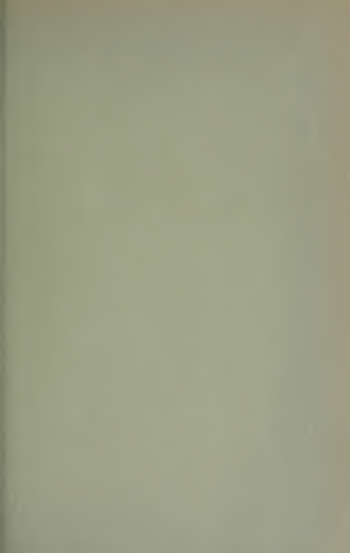